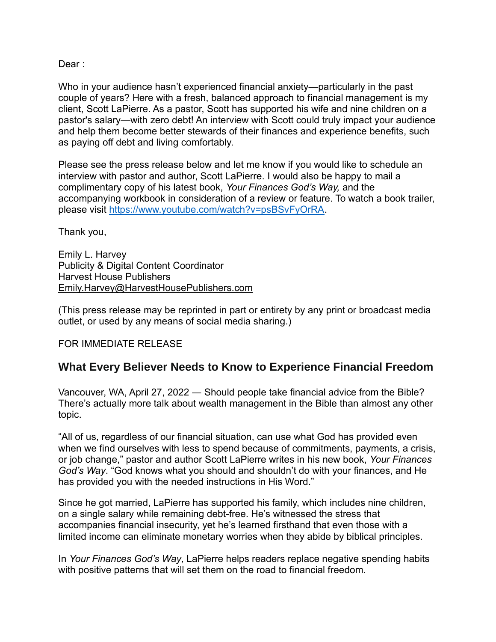Dear:

Who in your audience hasn't experienced financial anxiety—particularly in the past couple of years? Here with a fresh, balanced approach to financial management is my client, Scott LaPierre. As a pastor, Scott has supported his wife and nine children on a pastor's salary—with zero debt! An interview with Scott could truly impact your audience and help them become better stewards of their finances and experience benefits, such as paying off debt and living comfortably.

Please see the press release below and let me know if you would like to schedule an interview with pastor and author, Scott LaPierre. I would also be happy to mail a complimentary copy of his latest book, *Your Finances God's Way,* and the accompanying workbook in consideration of a review or feature. To watch a book trailer, please visit [https://www.youtube.com/watch?v=psBSvFyOrRA.](https://www.youtube.com/watch?v=psBSvFyOrRA)

Thank you,

Emily L. Harvey Publicity & Digital Content Coordinator Harvest House Publishers [Emily.Harvey@HarvestHousePublishers.com](mailto:Emily.Harvey@HarvestHousePublishers.com)

(This press release may be reprinted in part or entirety by any print or broadcast media outlet, or used by any means of social media sharing.)

## FOR IMMEDIATE RELEASE

## **What Every Believer Needs to Know to Experience Financial Freedom**

Vancouver, WA, April 27, 2022 ― Should people take financial advice from the Bible? There's actually more talk about wealth management in the Bible than almost any other topic.

"All of us, regardless of our financial situation, can use what God has provided even when we find ourselves with less to spend because of commitments, payments, a crisis, or job change," pastor and author Scott LaPierre writes in his new book, *Your Finances God's Way*. "God knows what you should and shouldn't do with your finances, and He has provided you with the needed instructions in His Word."

Since he got married, LaPierre has supported his family, which includes nine children, on a single salary while remaining debt-free. He's witnessed the stress that accompanies financial insecurity, yet he's learned firsthand that even those with a limited income can eliminate monetary worries when they abide by biblical principles.

In *Your Finances God's Way*, LaPierre helps readers replace negative spending habits with positive patterns that will set them on the road to financial freedom.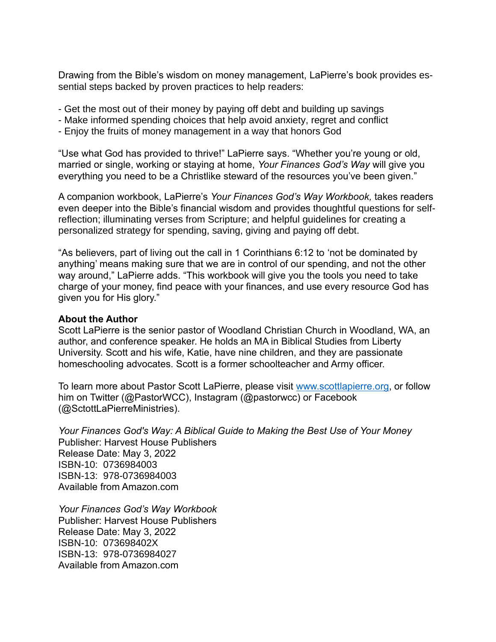Drawing from the Bible's wisdom on money management, LaPierre's book provides essential steps backed by proven practices to help readers:

- Get the most out of their money by paying off debt and building up savings
- Make informed spending choices that help avoid anxiety, regret and conflict
- Enjoy the fruits of money management in a way that honors God

"Use what God has provided to thrive!" LaPierre says. "Whether you're young or old, married or single, working or staying at home, *Your Finances God's Way* will give you everything you need to be a Christlike steward of the resources you've been given."

A companion workbook, LaPierre's *Your Finances God's Way Workbook,* takes readers even deeper into the Bible's financial wisdom and provides thoughtful questions for selfreflection; illuminating verses from Scripture; and helpful guidelines for creating a personalized strategy for spending, saving, giving and paying off debt.

"As believers, part of living out the call in 1 Corinthians 6:12 to 'not be dominated by anything' means making sure that we are in control of our spending, and not the other way around," LaPierre adds. "This workbook will give you the tools you need to take charge of your money, find peace with your finances, and use every resource God has given you for His glory."

## **About the Author**

Scott LaPierre is the senior pastor of Woodland Christian Church in Woodland, WA, an author, and conference speaker. He holds an MA in Biblical Studies from Liberty University. Scott and his wife, Katie, have nine children, and they are passionate homeschooling advocates. Scott is a former schoolteacher and Army officer.

To learn more about Pastor Scott LaPierre, please visit [www.scottlapierre.org,](http://www.scottlapierre.org/) or follow him on Twitter (@PastorWCC), Instagram (@pastorwcc) or Facebook (@SctottLaPierreMinistries).

*Your Finances God's Way: A Biblical Guide to Making the Best Use of Your Money* Publisher: Harvest House Publishers Release Date: May 3, 2022 ISBN-10: 0736984003 ISBN-13: 978-0736984003 Available from Amazon.com

*Your Finances God's Way Workbook* Publisher: Harvest House Publishers Release Date: May 3, 2022 ISBN-10: 073698402X ISBN-13: 978-0736984027 Available from Amazon.com